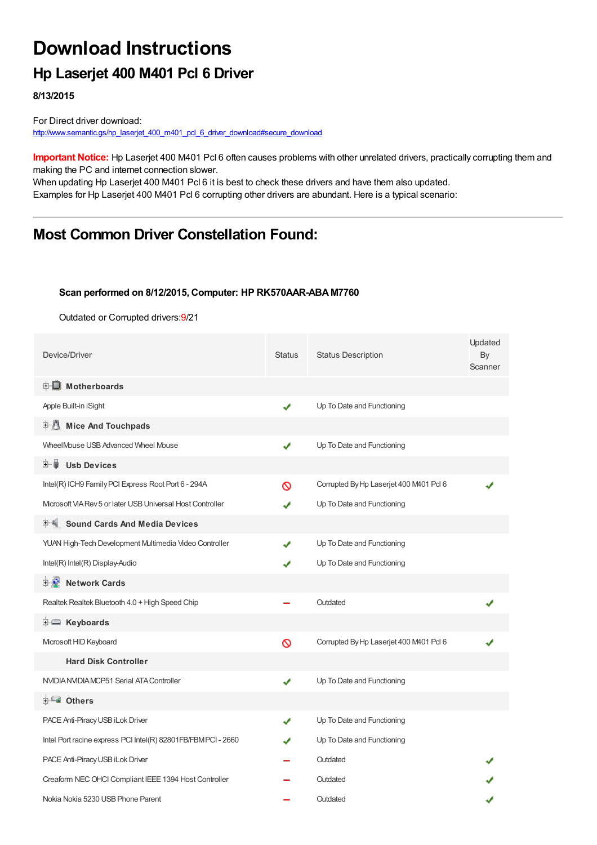# **Download Instructions**

## **Hp Laserjet 400 M401 Pcl 6 Driver**

**8/13/2015**

For Direct driver download: [http://www.semantic.gs/hp\\_laserjet\\_400\\_m401\\_pcl\\_6\\_driver\\_download#secure\\_download](http://www.semantic.gs/hp_laserjet_400_m401_pcl_6_driver_download#secure_download)

**Important Notice:** Hp Laserjet 400 M401 Pcl 6 often causes problems with other unrelated drivers, practically corrupting them and making the PC and internet connection slower.

When updating Hp Laserjet 400 M401 Pcl 6 it is best to check these drivers and have them also updated. Examples for Hp Laserjet 400 M401 Pcl 6 corrupting other drivers are abundant. Here is a typical scenario:

## **Most Common Driver Constellation Found:**

#### **Scan performed on 8/12/2015, Computer: HP RK570AAR-ABA M7760**

Outdated or Corrupted drivers:9/21

| Device/Driver                                                | <b>Status</b> | <b>Status Description</b>              | Updated<br>By<br>Scanner |
|--------------------------------------------------------------|---------------|----------------------------------------|--------------------------|
| <b>E</b> Motherboards                                        |               |                                        |                          |
| Apple Built-in iSight                                        | ✔             | Up To Date and Functioning             |                          |
| E-U<br><b>Mice And Touchpads</b>                             |               |                                        |                          |
| WheelMouse USB Advanced Wheel Mouse                          | ✔             | Up To Date and Functioning             |                          |
| 田一尊<br><b>Usb Devices</b>                                    |               |                                        |                          |
| Intel(R) ICH9 Family PCI Express Root Port 6 - 294A          | $\infty$      | Corrupted By Hp Laserjet 400 M401 Pd 6 |                          |
| Microsoft VIA Rev 5 or later USB Universal Host Controller   | ✔             | Up To Date and Functioning             |                          |
| 甲– Sound Cards And Media Devices                             |               |                                        |                          |
| YUAN High-Tech Development Multimedia Video Controller       | ✔             | Up To Date and Functioning             |                          |
| Intel(R) Intel(R) Display-Audio                              |               | Up To Date and Functioning             |                          |
| <b>D</b> Network Cards                                       |               |                                        |                          |
| Realtek Realtek Bluetooth 4.0 + High Speed Chip              |               | Outdated                               |                          |
| <b>E</b> Keyboards                                           |               |                                        |                          |
| Microsoft HID Keyboard                                       | $\infty$      | Corrupted By Hp Laserjet 400 M401 Pd 6 |                          |
| <b>Hard Disk Controller</b>                                  |               |                                        |                          |
| NVIDIA NVIDIA MCP51 Serial ATA Controller                    | ✔             | Up To Date and Functioning             |                          |
| <b>E</b> Others                                              |               |                                        |                          |
| PACE Anti-Piracy USB iLok Driver                             | ✔             | Up To Date and Functioning             |                          |
| Intel Port racine express PCI Intel(R) 82801FB/FBMPCI - 2660 | J             | Up To Date and Functioning             |                          |
| PACE Anti-Piracy USB iLok Driver                             |               | Outdated                               |                          |
| Creaform NEC OHCI Compliant IEEE 1394 Host Controller        |               | Outdated                               |                          |
| Nokia Nokia 5230 USB Phone Parent                            |               | Outdated                               |                          |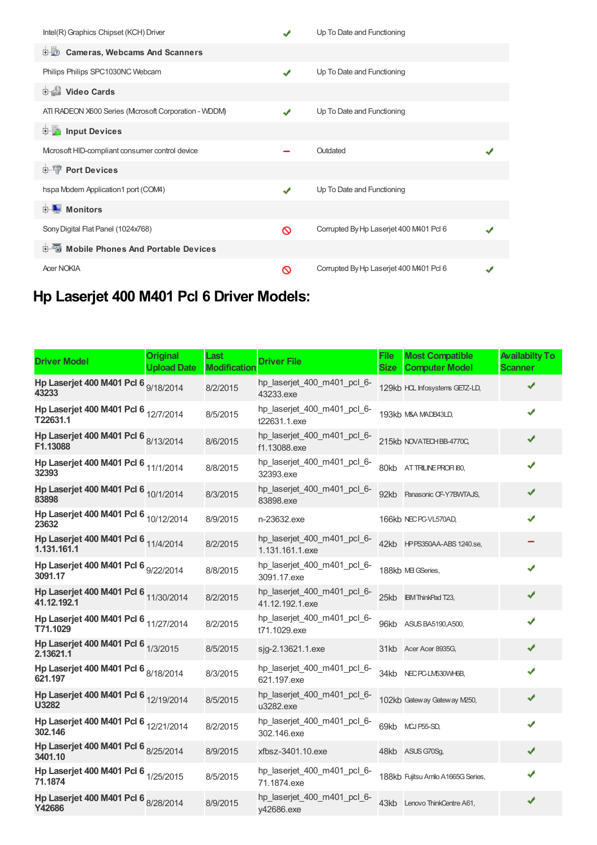| Intel(R) Graphics Chipset (KCH) Driver               |              | Up To Date and Functioning             |  |
|------------------------------------------------------|--------------|----------------------------------------|--|
| <b>D</b> Cameras, Webcams And Scanners               |              |                                        |  |
| Philips Philips SPC1030NC Webcam                     | $\mathbf{v}$ | Up To Date and Functioning             |  |
| Video Cards                                          |              |                                        |  |
| ATI RADEON X600 Series (Mcrosoft Corporation - WDDM) |              | Up To Date and Functioning             |  |
| <b>E</b> Input Devices                               |              |                                        |  |
| Microsoft HID-compliant consumer control device      |              | Outdated                               |  |
| <b>E-T</b> Port Devices                              |              |                                        |  |
| hspa Modem Application1 port (COM4)                  | ✔            | Up To Date and Functioning             |  |
| $\blacksquare$ Monitors<br>中-                        |              |                                        |  |
| Sony Digital Flat Panel (1024x768)                   | ര            | Corrupted By Hp Laserjet 400 M401 Pd 6 |  |
| 电图 Mobile Phones And Portable Devices                |              |                                        |  |
| <b>Acer NOKIA</b>                                    | ര            | Corrupted By Hp Laserjet 400 M401 Pd 6 |  |

## **Hp Laserjet 400 M401 Pcl 6 Driver Models:**

| <b>Driver Model</b>                                  | <b>Original</b><br><b>Upload Date</b> | Last<br><b>Modification</b> | <b>Driver File</b>                             | <b>File</b><br><b>Size</b> | <b>Most Compatible</b><br><b>Computer Model</b> | <b>Availabilty To</b><br><b>Scanner</b> |
|------------------------------------------------------|---------------------------------------|-----------------------------|------------------------------------------------|----------------------------|-------------------------------------------------|-----------------------------------------|
| Hp Laserjet 400 M401 Pcl 6 9/18/2014<br>43233        |                                       | 8/2/2015                    | hp_laserjet_400_m401_pcl_6-<br>43233.exe       |                            | 129kb HCL Infosystems GETZ-LD,                  |                                         |
| Hp Laserjet 400 M401 Pcl 6 12/7/2014<br>T22631.1     |                                       | 8/5/2015                    | hp_laserjet_400_m401_pcl_6-<br>t22631.1.exe    |                            | 193kb M&A MADB43LD,                             | ✔                                       |
| Hp Laserjet 400 M401 Pcl 6 8/13/2014<br>F1.13088     |                                       | 8/6/2015                    | hp_laserjet_400_m401_pcl_6-<br>f1.13088.exe    |                            | 215kb NOVATECHBB-4770C,                         | ✔                                       |
| Hp Laserjet 400 M401 Pcl 6 11/1/2014<br>32393        |                                       | 8/8/2015                    | hp_laserjet_400_m401_pcl_6-<br>32393.exe       |                            | 80kb ATTRILINE PROFI 180,                       | ✔                                       |
| Hp Laserjet 400 M401 Pcl 6 10/1/2014<br>83898        |                                       | 8/3/2015                    | hp_laserjet_400_m401_pcl_6-<br>83898.exe       |                            | 92kb Panasonic CF-Y7BWTAJS,                     |                                         |
| Hp Laserjet 400 M401 Pcl 6 10/12/2014<br>23632       |                                       | 8/9/2015                    | n-23632.exe                                    |                            | 166kb NEC PC-VL570AD,                           |                                         |
| Hp Laserjet 400 M401 Pcl 6 11/4/2014<br>1.131.161.1  |                                       | 8/2/2015                    | hp_laserjet_400_m401_pcl_6-<br>1.131.161.1.exe |                            | 42kb HPPS350AA-ABS 1240.se,                     |                                         |
| Hp Laserjet 400 M401 Pcl 6 9/22/2014<br>3091.17      |                                       | 8/8/2015                    | hp_laserjet_400_m401_pcl_6-<br>3091.17.exe     |                            | 188kb ME GSeries,                               | J                                       |
| Hp Laserjet 400 M401 Pcl 6 11/30/2014<br>41.12.192.1 |                                       | 8/2/2015                    | hp_laserjet_400_m401_pcl_6-<br>41.12.192.1.exe |                            | 25kb <b>IBM ThinkPad T23</b> ,                  | ✔                                       |
| Hp Laserjet 400 M401 Pcl 6 11/27/2014<br>T71.1029    |                                       | 8/2/2015                    | hp_laserjet_400_m401_pcl_6-<br>t71.1029.exe    |                            | 96kb ASUS BA5190, A500,                         | ✔                                       |
| Hp Laserjet 400 M401 Pcl 6 1/3/2015<br>2.13621.1     |                                       | 8/5/2015                    | sjg-2.13621.1.exe                              |                            | 31kb Acer Acer 8935G,                           | ✔                                       |
| Hp Laserjet 400 M401 Pcl 6 8/18/2014<br>621.197      |                                       | 8/3/2015                    | hp_laserjet_400_m401_pcl_6-<br>621.197.exe     |                            | 34kb NEC PC-LM530WH6B,                          | ✔                                       |
| Hp Laserjet 400 M401 Pcl 6 12/19/2014<br>U3282       |                                       | 8/5/2015                    | hp_laserjet_400_m401_pcl_6-<br>u3282.exe       |                            | 102kb Gateway Gateway M250,                     | ✔                                       |
| Hp Laserjet 400 M401 Pcl 6 12/21/2014<br>302.146     |                                       | 8/2/2015                    | hp_laserjet_400_m401_pcl_6-<br>302.146.exe     |                            | 69kb MCJ P55-SD,                                | ✔                                       |
| Hp Laserjet 400 M401 Pcl 6 8/25/2014<br>3401.10      |                                       | 8/9/2015                    | xfbsz-3401.10.exe                              |                            | 48kb ASUS G70Sg,                                | ✔                                       |
| Hp Laserjet 400 M401 Pcl 6 1/25/2015<br>71.1874      |                                       | 8/5/2015                    | hp_laserjet_400_m401_pcl_6-<br>71.1874.exe     |                            | 188kb Fujitsu Amilo A1665G Series,              |                                         |
| Hp Laserjet 400 M401 Pcl 6 8/28/2014<br>Y42686       |                                       | 8/9/2015                    | hp_laserjet_400_m401_pcl_6-<br>y42686.exe      |                            | 43kb Lenovo ThinkCentre A61,                    | ✔                                       |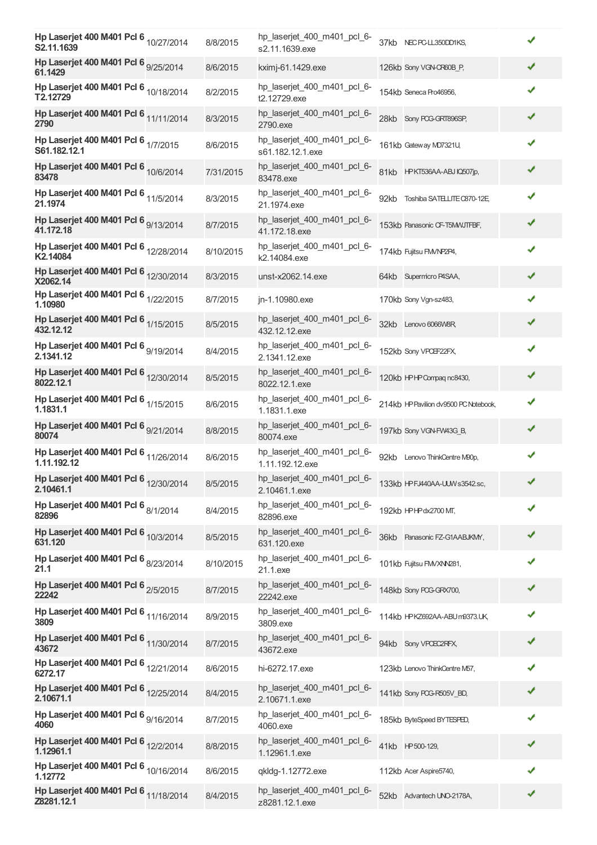| Hp Laserjet 400 M401 Pcl 6 10/27/2014<br>S2.11.1639  | 8/8/2015  | hp laserjet 400 m401 pcl 6-<br>s2.11.1639.exe   | 37kb NEC PC-LL350DD1KS,               |   |
|------------------------------------------------------|-----------|-------------------------------------------------|---------------------------------------|---|
| Hp Laserjet 400 M401 Pcl 6 9/25/2014<br>61.1429      | 8/6/2015  | kximj-61.1429.exe                               | 126kb Sony VGN-CR60B_P,               | ✔ |
| Hp Laserjet 400 M401 Pcl 6 10/18/2014<br>T2.12729    | 8/2/2015  | hp_laserjet_400_m401_pcl_6-<br>t2.12729.exe     | 154kb Seneca Pro46956,                | ✔ |
| Hp Laserjet 400 M401 Pcl 6 11/11/2014<br>2790        | 8/3/2015  | hp_laserjet_400_m401_pcl_6-<br>2790.exe         | 28kb Sony PCG-GRT896SP,               | ✔ |
| Hp Laserjet 400 M401 Pcl 6 1/7/2015<br>S61.182.12.1  | 8/6/2015  | hp_laserjet_400_m401_pcl_6-<br>s61.182.12.1.exe | 161kb Gateway MD7321U,                | ✔ |
| Hp Laserjet 400 M401 Pcl 6 10/6/2014<br>83478        | 7/31/2015 | hp_laserjet_400_m401_pcl_6-<br>83478.exe        | 81kb HPKT536AA-ABJ IQ507jp,           | ✔ |
| Hp Laserjet 400 M401 Pcl 6 11/5/2014<br>21.1974      | 8/3/2015  | hp_laserjet_400_m401_pcl_6-<br>21.1974.exe      | 92kb Toshiba SATELLITE C870-12E       | ✔ |
| Hp Laserjet 400 M401 Pcl 6 9/13/2014<br>41.172.18    | 8/7/2015  | hp_laserjet_400_m401_pcl_6-<br>41.172.18.exe    | 153kb Panasonic CF-T5MWJTFBF,         | ✔ |
| Hp Laserjet 400 M401 Pcl 6 12/28/2014<br>K2.14084    | 8/10/2015 | hp_laserjet_400_m401_pcl_6-<br>k2.14084.exe     | 174kb Fujitsu FM/NP2P4,               | ✔ |
| Hp Laserjet 400 M401 Pcl 6 12/30/2014<br>X2062.14    | 8/3/2015  | unst-x2062.14.exe                               | 64kb Supermicro P4SAA,                | ✔ |
| Hp Laserjet 400 M401 Pcl 6 1/22/2015<br>1.10980      | 8/7/2015  | jn-1.10980.exe                                  | 170kb Sony Vgn-sz483,                 | ✔ |
| Hp Laserjet 400 M401 Pcl 6 1/15/2015<br>432.12.12    | 8/5/2015  | hp_laserjet_400_m401_pcl_6-<br>432.12.12.exe    | 32kb Lenovo 6066W8R,                  | ✔ |
| Hp Laserjet 400 M401 Pcl 6 9/19/2014<br>2.1341.12    | 8/4/2015  | hp_laserjet_400_m401_pcl_6-<br>2.1341.12.exe    | 152kb Sony VPCEF22FX,                 | ✔ |
| Hp Laserjet 400 M401 Pcl 6 12/30/2014<br>8022.12.1   | 8/5/2015  | hp_laserjet_400_m401_pcl_6-<br>8022.12.1.exe    | 120kb HPHP Compaq nc8430,             |   |
| Hp Laserjet 400 M401 Pcl 6 1/15/2015<br>1.1831.1     | 8/6/2015  | hp_laserjet_400_m401_pcl_6-<br>1.1831.1.exe     | 214kb HP Pavilion dv9500 PC Notebook, | ✔ |
| Hp Laserjet 400 M401 Pcl 6 9/21/2014<br>80074        | 8/8/2015  | hp_laserjet_400_m401_pcl_6-<br>80074.exe        | 197kb Sony VGN-FW43G_B,               | ✔ |
| Hp Laserjet 400 M401 Pcl 6 11/26/2014<br>1.11.192.12 | 8/6/2015  | hp_laserjet_400_m401_pcl_6-<br>1.11.192.12.exe  | 92kb Lenovo ThinkCentre M90p,         | ✔ |
| Hp Laserjet 400 M401 Pcl 6 12/30/2014<br>2.10461.1   | 8/5/2015  | hp_laserjet_400_m401_pcl_6-<br>2.10461.1.exe    | 133kb HPFJ440AA-UUW s3542.sc,         |   |
| Hp Laserjet 400 M401 Pcl 6 8/1/2014<br>82896         | 8/4/2015  | hp_laserjet_400_m401_pcl_6-<br>82896.exe        | 192kb HPHPdx2700 MT,                  | ✔ |
| Hp Laserjet 400 M401 Pcl 6 10/3/2014<br>631.120      | 8/5/2015  | hp_laserjet_400_m401_pcl_6-<br>631.120.exe      | 36kb Panasonic FZ-G1AABJKMY,          | ✔ |
| Hp Laserjet 400 M401 Pcl 6 8/23/2014<br>21.1         | 8/10/2015 | hp_laserjet_400_m401_pcl_6-<br>21.1.exe         | 101kb Fujitsu FM/XNN281,              | ✔ |
| Hp Laserjet 400 M401 Pcl 6 2/5/2015<br>22242         | 8/7/2015  | hp_laserjet_400_m401_pcl_6-<br>22242.exe        | 148kb Sony PCG-GRX700,                |   |
| Hp Laserjet 400 M401 Pcl 6 11/16/2014<br>3809        | 8/9/2015  | hp_laserjet_400_m401_pcl_6-<br>3809.exe         | 114kb HPKZ692AA-ABUm9373.UK,          |   |
| Hp Laserjet 400 M401 Pcl 6 11/30/2014<br>43672       | 8/7/2015  | hp_laserjet_400_m401_pcl_6-<br>43672.exe        | 94kb Sony VPCEC2RFX,                  | ✔ |
| Hp Laserjet 400 M401 Pcl 6 12/21/2014<br>6272.17     | 8/6/2015  | hi-6272.17.exe                                  | 123kb Lenovo ThinkCentre M57,         | ✔ |
| Hp Laserjet 400 M401 Pcl 6 12/25/2014<br>2.10671.1   | 8/4/2015  | hp_laserjet_400_m401_pcl_6-<br>2.10671.1.exe    | 141kb Sony PCG-R505V_BD,              | ✔ |
| Hp Laserjet 400 M401 Pcl 6 9/16/2014<br>4060         | 8/7/2015  | hp_laserjet_400_m401_pcl_6-<br>4060.exe         | 185kb ByteSpeed BYTESPED,             | ✔ |
| Hp Laserjet 400 M401 Pcl 6 12/2/2014<br>1.12961.1    | 8/8/2015  | hp_laserjet_400_m401_pcl_6-<br>1.12961.1.exe    | 41kb HP500-129,                       |   |
| Hp Laserjet 400 M401 Pcl 6 10/16/2014<br>1.12772     | 8/6/2015  | qkldg-1.12772.exe                               | 112kb Acer Aspire5740,                | ✔ |
| Hp Laserjet 400 M401 Pcl 6 11/18/2014<br>Z8281.12.1  | 8/4/2015  | hp_laserjet_400_m401_pcl_6-<br>z8281.12.1.exe   | 52kb<br>Advantech UNO-2178A,          | ✔ |